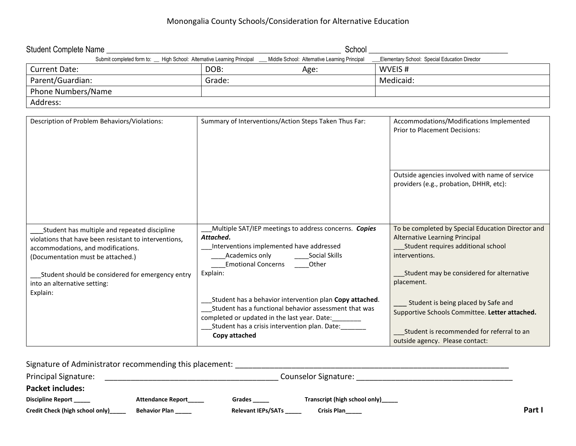## Monongalia County Schools/Consideration for Alternative Education

| Student Complete Name                                                    |        | School                                        |                                               |
|--------------------------------------------------------------------------|--------|-----------------------------------------------|-----------------------------------------------|
| Submit completed form to: __ High School: Alternative Learning Principal |        | Middle School: Alternative Learning Principal | Elementary School: Special Education Director |
| <b>Current Date:</b>                                                     | DOB:   | Age:                                          | WVEIS#                                        |
| Parent/Guardian:                                                         | Grade: |                                               | Medicaid:                                     |
| Phone Numbers/Name                                                       |        |                                               |                                               |
| Address:                                                                 |        |                                               |                                               |

| Description of Problem Behaviors/Violations:                                                                                                                                     | Summary of Interventions/Action Steps Taken Thus Far:                                                                                                                                                                         | Accommodations/Modifications Implemented<br><b>Prior to Placement Decisions:</b>                                                                 |
|----------------------------------------------------------------------------------------------------------------------------------------------------------------------------------|-------------------------------------------------------------------------------------------------------------------------------------------------------------------------------------------------------------------------------|--------------------------------------------------------------------------------------------------------------------------------------------------|
|                                                                                                                                                                                  |                                                                                                                                                                                                                               | Outside agencies involved with name of service<br>providers (e.g., probation, DHHR, etc):                                                        |
| Student has multiple and repeated discipline<br>violations that have been resistant to interventions,<br>accommodations, and modifications.<br>(Documentation must be attached.) | Multiple SAT/IEP meetings to address concerns. Copies<br>Attached.<br>Interventions implemented have addressed<br>Academics only<br>Social Skills<br><b>Emotional Concerns</b><br>Other                                       | To be completed by Special Education Director and<br>Alternative Learning Principal<br>Student requires additional school<br>interventions.      |
| Student should be considered for emergency entry<br>into an alternative setting:<br>Explain:                                                                                     | Explain:<br>Student has a behavior intervention plan Copy attached.<br>Student has a functional behavior assessment that was<br>completed or updated in the last year. Date:<br>Student has a crisis intervention plan. Date: | Student may be considered for alternative<br>placement.<br>Student is being placed by Safe and<br>Supportive Schools Committee. Letter attached. |
|                                                                                                                                                                                  | Copy attached                                                                                                                                                                                                                 | Student is recommended for referral to an<br>outside agency. Please contact:                                                                     |

| Signature of Administrator recommending this placement: |                          |                           |                               |        |
|---------------------------------------------------------|--------------------------|---------------------------|-------------------------------|--------|
| Principal Signature:                                    | Counselor Signature:     |                           |                               |        |
| <b>Packet includes:</b>                                 |                          |                           |                               |        |
| <b>Discipline Report</b>                                | <b>Attendance Report</b> | Grades                    | Transcript (high school only) |        |
| Credit Check (high school only)                         | <b>Behavior Plan</b>     | <b>Relevant IEPs/SATs</b> | <b>Crisis Plan</b>            | Part I |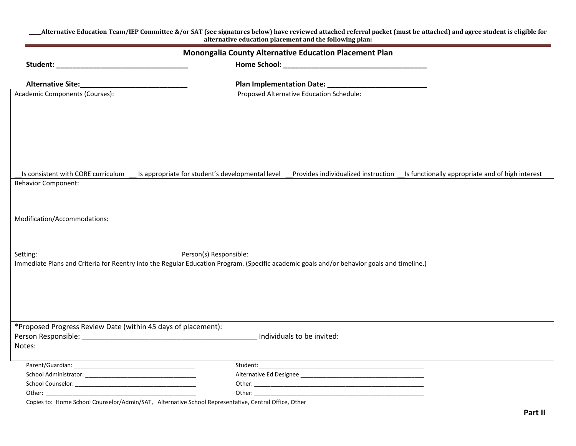| _Alternative Education Team/IEP Committee &/or SAT (see signatures below) have reviewed attached referral packet (must be attached) and agree student is eligible for<br>alternative education placement and the following plan: |                                                                                                                                                                                 |  |  |  |
|----------------------------------------------------------------------------------------------------------------------------------------------------------------------------------------------------------------------------------|---------------------------------------------------------------------------------------------------------------------------------------------------------------------------------|--|--|--|
| Monongalia County Alternative Education Placement Plan                                                                                                                                                                           |                                                                                                                                                                                 |  |  |  |
|                                                                                                                                                                                                                                  |                                                                                                                                                                                 |  |  |  |
| <b>Alternative Site:</b>                                                                                                                                                                                                         | <b>Plan Implementation Date:</b>                                                                                                                                                |  |  |  |
| Academic Components (Courses):                                                                                                                                                                                                   | Proposed Alternative Education Schedule:                                                                                                                                        |  |  |  |
|                                                                                                                                                                                                                                  |                                                                                                                                                                                 |  |  |  |
|                                                                                                                                                                                                                                  |                                                                                                                                                                                 |  |  |  |
|                                                                                                                                                                                                                                  |                                                                                                                                                                                 |  |  |  |
|                                                                                                                                                                                                                                  |                                                                                                                                                                                 |  |  |  |
|                                                                                                                                                                                                                                  |                                                                                                                                                                                 |  |  |  |
|                                                                                                                                                                                                                                  |                                                                                                                                                                                 |  |  |  |
|                                                                                                                                                                                                                                  | Is consistent with CORE curriculum __ Is appropriate for student's developmental level __Provides individualized instruction __Is functionally appropriate and of high interest |  |  |  |
| <b>Behavior Component:</b>                                                                                                                                                                                                       |                                                                                                                                                                                 |  |  |  |
|                                                                                                                                                                                                                                  |                                                                                                                                                                                 |  |  |  |
|                                                                                                                                                                                                                                  |                                                                                                                                                                                 |  |  |  |
|                                                                                                                                                                                                                                  |                                                                                                                                                                                 |  |  |  |
| Modification/Accommodations:                                                                                                                                                                                                     |                                                                                                                                                                                 |  |  |  |
|                                                                                                                                                                                                                                  |                                                                                                                                                                                 |  |  |  |
|                                                                                                                                                                                                                                  |                                                                                                                                                                                 |  |  |  |
| Setting:                                                                                                                                                                                                                         | Person(s) Responsible:                                                                                                                                                          |  |  |  |
|                                                                                                                                                                                                                                  | Immediate Plans and Criteria for Reentry into the Regular Education Program. (Specific academic goals and/or behavior goals and timeline.)                                      |  |  |  |
|                                                                                                                                                                                                                                  |                                                                                                                                                                                 |  |  |  |
|                                                                                                                                                                                                                                  |                                                                                                                                                                                 |  |  |  |
|                                                                                                                                                                                                                                  |                                                                                                                                                                                 |  |  |  |
|                                                                                                                                                                                                                                  |                                                                                                                                                                                 |  |  |  |
|                                                                                                                                                                                                                                  |                                                                                                                                                                                 |  |  |  |
| *Proposed Progress Review Date (within 45 days of placement):                                                                                                                                                                    |                                                                                                                                                                                 |  |  |  |
| Person Responsible: National Person Responsible:                                                                                                                                                                                 | Individuals to be invited:                                                                                                                                                      |  |  |  |
| Notes:                                                                                                                                                                                                                           |                                                                                                                                                                                 |  |  |  |
|                                                                                                                                                                                                                                  |                                                                                                                                                                                 |  |  |  |
|                                                                                                                                                                                                                                  |                                                                                                                                                                                 |  |  |  |
|                                                                                                                                                                                                                                  |                                                                                                                                                                                 |  |  |  |
|                                                                                                                                                                                                                                  |                                                                                                                                                                                 |  |  |  |
|                                                                                                                                                                                                                                  |                                                                                                                                                                                 |  |  |  |
| Copies to: Home School Counselor/Admin/SAT, Alternative School Representative, Central Office, Other                                                                                                                             |                                                                                                                                                                                 |  |  |  |